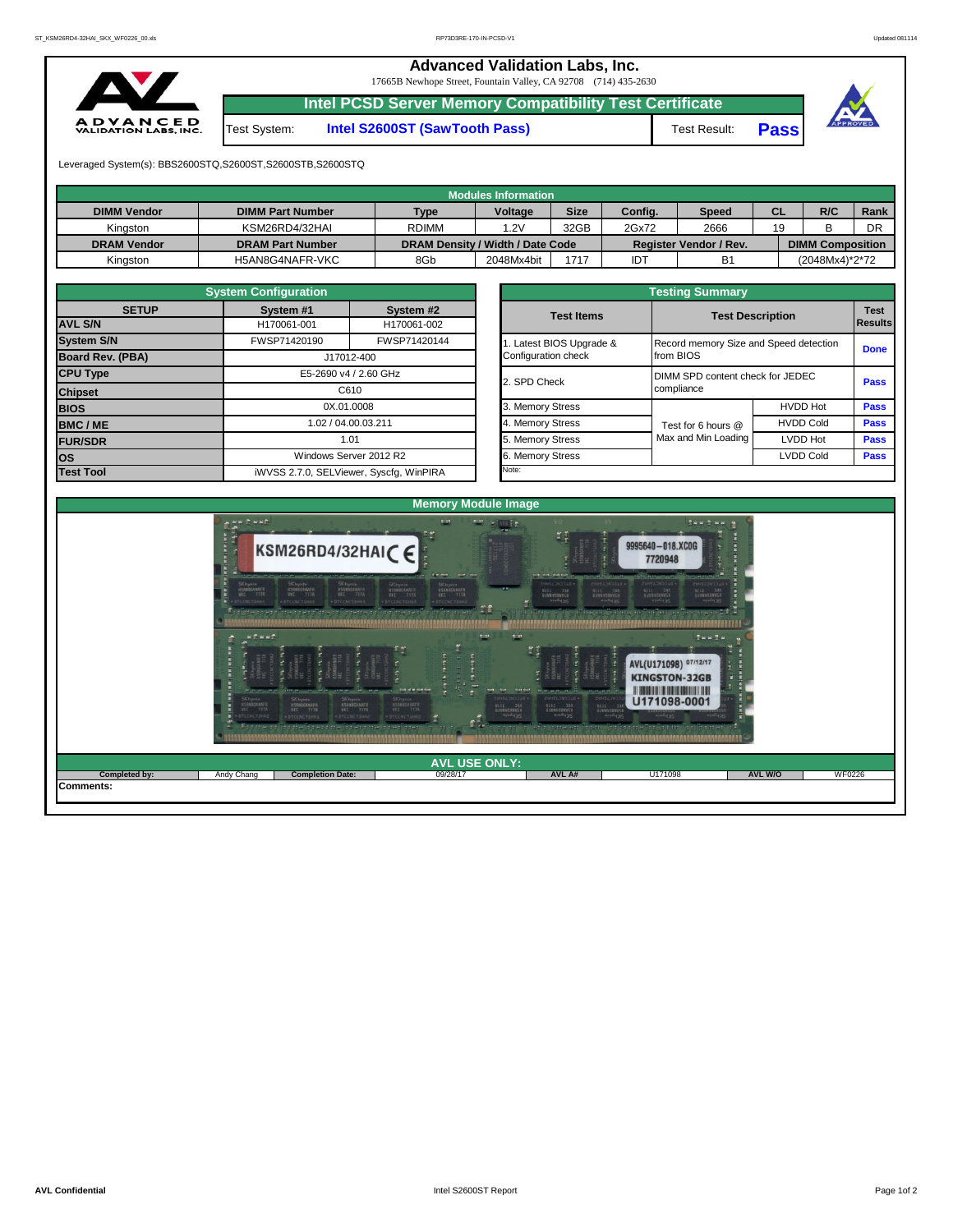## **Advanced Validation Labs, Inc.**

17665B Newhope Street, Fountain Valley, CA 92708 (714) 435-2630



## Test System: **Intel S2600ST (SawTooth Pass)** Test Result: **Pass**

**Intel PCSD Server Memory Compatibility Test Certificate**



Leveraged System(s): BBS2600STQ,S2600ST,S2600STB,S2600STQ

|                    |                         |                                  | Modules Information |             |         |                        |           |                         |      |
|--------------------|-------------------------|----------------------------------|---------------------|-------------|---------|------------------------|-----------|-------------------------|------|
| <b>DIMM Vendor</b> | <b>DIMM Part Number</b> | Type                             | Voltage             | <b>Size</b> | Config. | Speed                  | <b>CL</b> | R/C                     | Rank |
| Kinaston           | KSM26RD4/32HAI          | <b>RDIMM</b>                     | 1.2V                | 32GB        | 2Gx72   | 2666                   | 19        |                         | DR   |
| <b>DRAM Vendor</b> | <b>DRAM Part Number</b> | DRAM Density / Width / Date Code |                     |             |         | Register Vendor / Rev. |           | <b>DIMM Composition</b> |      |
| Kinaston           | H5AN8G4NAFR-VKC         | 8Gb                              | 2048Mx4bit          | 1717        | IDT     | <b>B1</b>              |           | (2048Mx4)*2*72          |      |

|                   | <b>System Configuration</b> |                                         |  |                       |                                  |                                                     |             |  |  |  |
|-------------------|-----------------------------|-----------------------------------------|--|-----------------------|----------------------------------|-----------------------------------------------------|-------------|--|--|--|
| <b>SETUP</b>      | System #1                   | System #2                               |  | <b>Test Items</b>     |                                  | <b>Test Description</b><br>Results                  |             |  |  |  |
| <b>AVL S/N</b>    | H170061-001                 | H170061-002                             |  |                       |                                  |                                                     |             |  |  |  |
| <b>System S/N</b> | FWSP71420190                | FWSP71420144                            |  | Latest BIOS Upgrade & |                                  | Record memory Size and Speed detection<br>from BIOS |             |  |  |  |
| Board Rev. (PBA)  |                             | J17012-400                              |  | Configuration check   |                                  |                                                     |             |  |  |  |
| <b>CPU Type</b>   | E5-2690 v4 / 2.60 GHz       |                                         |  | 2. SPD Check          | DIMM SPD content check for JEDEC | <b>Pass</b>                                         |             |  |  |  |
| <b>Chipset</b>    |                             | C610                                    |  |                       | compliance                       |                                                     |             |  |  |  |
| <b>BIOS</b>       |                             | 0X.01.0008                              |  | 3. Memory Stress      |                                  | <b>HVDD Hot</b>                                     | <b>Pass</b> |  |  |  |
| <b>BMC/ME</b>     |                             | 1.02 / 04.00.03.211                     |  | 4. Memory Stress      | Test for 6 hours @               | <b>HVDD Cold</b>                                    | <b>Pass</b> |  |  |  |
| <b>FUR/SDR</b>    |                             | 1.01                                    |  | 5. Memory Stress      | Max and Min Loading              | LVDD Hot                                            | <b>Pass</b> |  |  |  |
| los               |                             | Windows Server 2012 R2                  |  | 6. Memory Stress      |                                  | <b>LVDD Cold</b>                                    | <b>Pass</b> |  |  |  |
| <b>Test Tool</b>  |                             | iWVSS 2.7.0, SELViewer, Syscfq, WinPIRA |  | Note:                 |                                  |                                                     |             |  |  |  |

|              | <b>System Configuration</b> |                                    |                       | <b>Testing Summary</b> |                                        |                                               |                               |  |  |  |  |  |  |  |
|--------------|-----------------------------|------------------------------------|-----------------------|------------------------|----------------------------------------|-----------------------------------------------|-------------------------------|--|--|--|--|--|--|--|
| <b>SETUP</b> | System #1<br>H170061-001    | System #2<br>H170061-002           | <b>Test Items</b>     |                        | <b>Test Description</b>                |                                               | <b>Test</b><br><b>Results</b> |  |  |  |  |  |  |  |
|              | FWSP71420190                | FWSP71420144                       | Latest BIOS Upgrade & |                        | Record memory Size and Speed detection |                                               |                               |  |  |  |  |  |  |  |
| PBA)         |                             | J17012-400                         | Configuration check   |                        | from BIOS                              | <b>Done</b>                                   |                               |  |  |  |  |  |  |  |
|              |                             | E5-2690 v4 / 2.60 GHz              | 2. SPD Check          |                        | DIMM SPD content check for JEDEC       |                                               |                               |  |  |  |  |  |  |  |
|              |                             | C610                               |                       |                        | compliance                             | <b>Pass</b><br><b>HVDD Hot</b><br><b>Pass</b> |                               |  |  |  |  |  |  |  |
|              |                             | 0X.01.0008                         | 3. Memory Stress      |                        |                                        |                                               |                               |  |  |  |  |  |  |  |
|              |                             | 1.02 / 04.00.03.211                | 4. Memory Stress      |                        | Test for 6 hours @                     | <b>HVDD Cold</b>                              | <b>Pass</b>                   |  |  |  |  |  |  |  |
|              |                             | 1.01                               | 5. Memory Stress      |                        | Max and Min Loading                    | LVDD Hot                                      | <b>Pass</b>                   |  |  |  |  |  |  |  |
|              |                             | Windows Server 2012 R2             | 6. Memory Stress      |                        |                                        | <b>LVDD Cold</b>                              | <b>Pass</b>                   |  |  |  |  |  |  |  |
|              |                             | iMVSS 270 SELViewer Svecta WinPIRA | Note:                 |                        |                                        |                                               |                               |  |  |  |  |  |  |  |